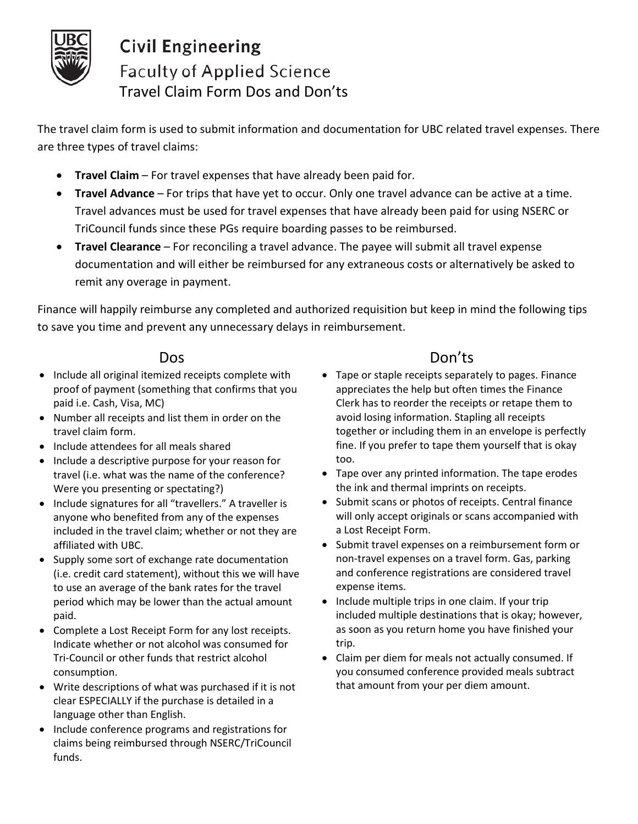

# **Civil Engineering Faculty of Applied Science** Travel Claim Form Dos and Don'ts

The travel claim form is used to submit information and documentation for UBC related travel expenses. There are three types of travel claims:

- **Travel Claim** For travel expenses that have already been paid for.
- **Travel Advance** For trips that have yet to occur. Only one travel advance can be active at a time. Travel advances must be used for travel expenses that have already been paid for using NSERC or TriCouncil funds since these PGs require boarding passes to be reimbursed.
- **Travel Clearance** For reconciling a travel advance. The payee will submit all travel expense documentation and will either be reimbursed for any extraneous costs or alternatively be asked to remit any overage in payment.

Finance will happily reimburse any completed and authorized requisition but keep in mind the following tips to save you time and prevent any unnecessary delays in reimbursement.

- Include all original itemized receipts complete with proof of payment (something that confirms that you paid i.e. Cash, Visa, MC)
- Number all receipts and list them in order on the travel claim form.
- Include attendees for all meals shared
- Include a descriptive purpose for your reason for travel (i.e. what was the name of the conference? Were you presenting or spectating?)
- Include signatures for all "travellers." A traveller is anyone who benefited from any of the expenses included in the travel claim; whether or not they are affiliated with UBC.
- Supply some sort of exchange rate documentation (i.e. credit card statement), without this we will have to use an average of the bank rates for the travel period which may be lower than the actual amount paid.
- Complete a Lost Receipt Form for any lost receipts. Indicate whether or not alcohol was consumed for Tri-Council or other funds that restrict alcohol consumption.
- Write descriptions of what was purchased if it is not clear ESPECIALLY if the purchase is detailed in a language other than English.
- Include conference programs and registrations for claims being reimbursed through NSERC/TriCouncil funds.

## Dos Don'ts

- Tape or staple receipts separately to pages. Finance appreciates the help but often times the Finance Clerk has to reorder the receipts or retape them to avoid losing information. Stapling all receipts together or including them in an envelope is perfectly fine. If you prefer to tape them yourself that is okay too.
- Tape over any printed information. The tape erodes the ink and thermal imprints on receipts.
- Submit scans or photos of receipts. Central finance will only accept originals or scans accompanied with a Lost Receipt Form.
- Submit travel expenses on a reimbursement form or non-travel expenses on a travel form. Gas, parking and conference registrations are considered travel expense items.
- Include multiple trips in one claim. If your trip included multiple destinations that is okay; however, as soon as you return home you have finished your trip.
- Claim per diem for meals not actually consumed. If you consumed conference provided meals subtract that amount from your per diem amount.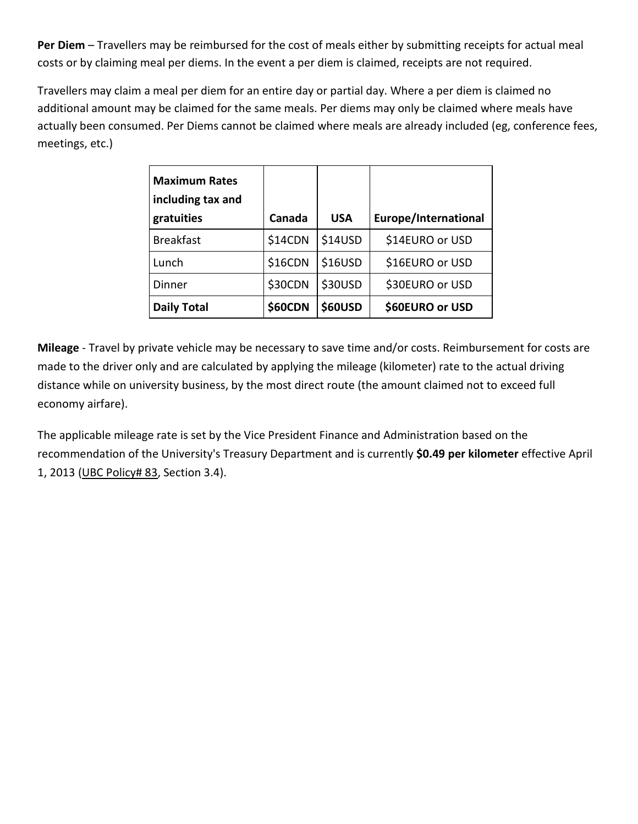**Per Diem** – Travellers may be reimbursed for the cost of meals either by submitting receipts for actual meal costs or by claiming meal per diems. In the event a per diem is claimed, receipts are not required.

Travellers may claim a meal per diem for an entire day or partial day. Where a per diem is claimed no additional amount may be claimed for the same meals. Per diems may only be claimed where meals have actually been consumed. Per Diems cannot be claimed where meals are already included (eg, conference fees, meetings, etc.)

| <b>Maximum Rates</b><br>including tax and<br>gratuities | Canada         | <b>USA</b>     | Europe/International |
|---------------------------------------------------------|----------------|----------------|----------------------|
| <b>Breakfast</b>                                        | \$14CDN        | <b>\$14USD</b> | \$14EURO or USD      |
| Lunch                                                   | \$16CDN        | \$16USD        | \$16EURO or USD      |
| Dinner                                                  | \$30CDN        | \$30USD        | \$30EURO or USD      |
| <b>Daily Total</b>                                      | <b>\$60CDN</b> | <b>\$60USD</b> | \$60EURO or USD      |

**Mileage** - Travel by private vehicle may be necessary to save time and/or costs. Reimbursement for costs are made to the driver only and are calculated by applying the mileage (kilometer) rate to the actual driving distance while on university business, by the most direct route (the amount claimed not to exceed full economy airfare).

The applicable mileage rate is set by the Vice President Finance and Administration based on the recommendation of the University's Treasury Department and is currently **\$0.49 per kilometer** effective April 1, 2013 (UBC [Policy#](http://universitycounsel.ubc.ca/files/2013/04/policy83_Directive.pdf) 83, Section 3.4).